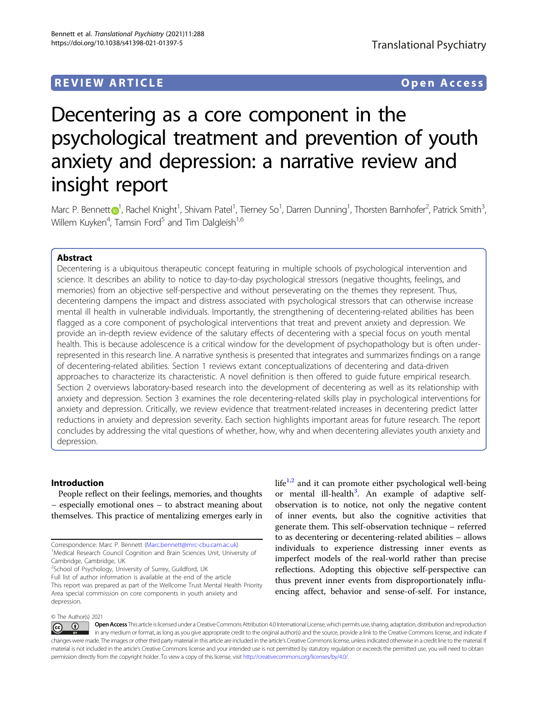# REVIEW ARTICLE Open Access

# Decentering as a core component in the psychological treatment and prevention of youth anxiety and depression: a narrative review and insight report

Marc P. Benne[t](http://orcid.org/0000-0001-7217-4059)t $\bigcirc^1$  $\bigcirc^1$ , Rachel Knight<sup>1</sup>, Shivam Patel<sup>1</sup>, Tierney So<sup>1</sup>, Darren Dunning<sup>1</sup>, Thorsten Barnhofer<sup>2</sup>, Patrick Smith<sup>3</sup> , Willem Kuyken $^4$ , Tamsin Ford $^5$  and Tim Dalgleish $^{1,6}\,$ 

# Abstract

Decentering is a ubiquitous therapeutic concept featuring in multiple schools of psychological intervention and science. It describes an ability to notice to day-to-day psychological stressors (negative thoughts, feelings, and memories) from an objective self-perspective and without perseverating on the themes they represent. Thus, decentering dampens the impact and distress associated with psychological stressors that can otherwise increase mental ill health in vulnerable individuals. Importantly, the strengthening of decentering-related abilities has been flagged as a core component of psychological interventions that treat and prevent anxiety and depression. We provide an in-depth review evidence of the salutary effects of decentering with a special focus on youth mental health. This is because adolescence is a critical window for the development of psychopathology but is often underrepresented in this research line. A narrative synthesis is presented that integrates and summarizes findings on a range of decentering-related abilities. Section 1 reviews extant conceptualizations of decentering and data-driven approaches to characterize its characteristic. A novel definition is then offered to guide future empirical research. Section 2 overviews laboratory-based research into the development of decentering as well as its relationship with anxiety and depression. Section 3 examines the role decentering-related skills play in psychological interventions for anxiety and depression. Critically, we review evidence that treatment-related increases in decentering predict latter reductions in anxiety and depression severity. Each section highlights important areas for future research. The report concludes by addressing the vital questions of whether, how, why and when decentering alleviates youth anxiety and depression.

# Introduction

People reflect on their feelings, memories, and thoughts – especially emotional ones – to abstract meaning about themselves. This practice of mentalizing emerges early in

Medical Research Council Cognition and Brain Sciences Unit, University of Cambridge, Cambridge, UK

<sup>2</sup>School of Psychology, University of Surrey, Guildford, UK

Full list of author information is available at the end of the article This report was prepared as part of the Wellcome Trust Mental Health Priority Area special commission on core components in youth anxiety and depression.

 $life<sup>1,2</sup>$  $life<sup>1,2</sup>$  $life<sup>1,2</sup>$  and it can promote either psychological well-being or mental ill-health<sup>[3](#page-11-0)</sup>. An example of adaptive selfobservation is to notice, not only the negative content of inner events, but also the cognitive activities that generate them. This self-observation technique – referred to as decentering or decentering-related abilities – allows individuals to experience distressing inner events as imperfect models of the real-world rather than precise reflections. Adopting this objective self-perspective can thus prevent inner events from disproportionately influencing affect, behavior and sense-of-self. For instance,

#### © The Author(s) 2021

Open Access This article is licensed under a Creative Commons Attribution 4.0 International License, which permits use, sharing, adaptation, distribution and reproduction  $\bigcirc$  $\left[{\rm (cc)}\right]$ in any medium or format, as long as you give appropriate credit to the original author(s) and the source, provide a link to the Creative Commons license, and indicate if changes were made. The images or other third party material in this article are included in the article's Creative Commons license, unless indicated otherwise in a credit line to the material. If material is not included in the article's Creative Commons license and your intended use is not permitted by statutory regulation or exceeds the permitted use, you will need to obtain permission directly from the copyright holder. To view a copy of this license, visit <http://creativecommons.org/licenses/by/4.0/>.

Correspondence: Marc P. Bennett [\(Marc.bennett@mrc-cbu.cam.ac.uk](mailto:Marc.bennett@mrc-cbu.cam.ac.uk)) <sup>1</sup>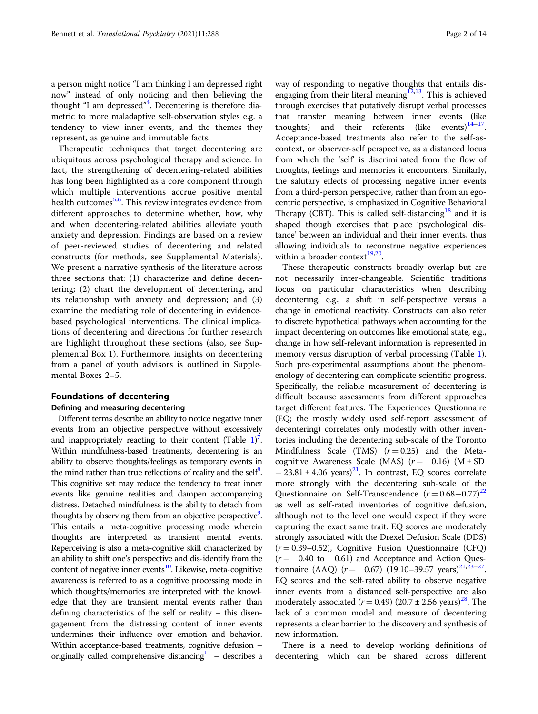a person might notice "I am thinking I am depressed right now" instead of only noticing and then believing the thought "I am depressed"<sup>[4](#page-11-0)</sup>. Decentering is therefore diametric to more maladaptive self-observation styles e.g. a tendency to view inner events, and the themes they represent, as genuine and immutable facts.

Therapeutic techniques that target decentering are ubiquitous across psychological therapy and science. In fact, the strengthening of decentering-related abilities has long been highlighted as a core component through which multiple interventions accrue positive mental health outcomes<sup>[5,6](#page-11-0)</sup>. This review integrates evidence from different approaches to determine whether, how, why and when decentering-related abilities alleviate youth anxiety and depression. Findings are based on a review of peer-reviewed studies of decentering and related constructs (for methods, see Supplemental Materials). We present a narrative synthesis of the literature across three sections that: (1) characterize and define decentering; (2) chart the development of decentering, and its relationship with anxiety and depression; and (3) examine the mediating role of decentering in evidencebased psychological interventions. The clinical implications of decentering and directions for further research are highlight throughout these sections (also, see Supplemental Box 1). Furthermore, insights on decentering from a panel of youth advisors is outlined in Supplemental Boxes 2–5.

#### Foundations of decentering

#### Defining and measuring decentering

Different terms describe an ability to notice negative inner events from an objective perspective without excessively and inappropriately reacting to their content (Table  $1$ )<sup>[7](#page-11-0)</sup>. Within mindfulness-based treatments, decentering is an ability to observe thoughts/feelings as temporary events in the mind rather than true reflections of reality and the self<sup>8</sup>. This cognitive set may reduce the tendency to treat inner events like genuine realities and dampen accompanying distress. Detached mindfulness is the ability to detach from thoughts by observing them from an objective perspective<sup>9</sup>. This entails a meta-cognitive processing mode wherein thoughts are interpreted as transient mental events. Reperceiving is also a meta-cognitive skill characterized by an ability to shift one's perspective and dis-identify from the content of negative inner events $10$ . Likewise, meta-cognitive awareness is referred to as a cognitive processing mode in which thoughts/memories are interpreted with the knowledge that they are transient mental events rather than defining characteristics of the self or reality – this disengagement from the distressing content of inner events undermines their influence over emotion and behavior. Within acceptance-based treatments, cognitive defusion – originally called comprehensive distancing $11$  – describes a way of responding to negative thoughts that entails disengaging from their literal meaning $12,13$  $12,13$  $12,13$ . This is achieved through exercises that putatively disrupt verbal processes that transfer meaning between inner events (like thoughts) and their referents (like events) $14-17$  $14-17$  $14-17$ . Acceptance-based treatments also refer to the self-ascontext, or observer-self perspective, as a distanced locus from which the 'self' is discriminated from the flow of thoughts, feelings and memories it encounters. Similarly, the salutary effects of processing negative inner events from a third-person perspective, rather than from an egocentric perspective, is emphasized in Cognitive Behavioral Therapy (CBT). This is called self-distancing<sup>[18](#page-11-0)</sup> and it is shaped though exercises that place 'psychological distance' between an individual and their inner events, thus allowing individuals to reconstrue negative experiences within a broader context $19,20$ .

These therapeutic constructs broadly overlap but are not necessarily inter-changeable. Scientific traditions focus on particular characteristics when describing decentering, e.g., a shift in self-perspective versus a change in emotional reactivity. Constructs can also refer to discrete hypothetical pathways when accounting for the impact decentering on outcomes like emotional state, e.g., change in how self-relevant information is represented in memory versus disruption of verbal processing (Table [1](#page-2-0)). Such pre-experimental assumptions about the phenomenology of decentering can complicate scientific progress. Specifically, the reliable measurement of decentering is difficult because assessments from different approaches target different features. The Experiences Questionnaire (EQ; the mostly widely used self-report assessment of decentering) correlates only modestly with other inventories including the decentering sub-scale of the Toronto Mindfulness Scale (TMS)  $(r=0.25)$  and the Metacognitive Awareness Scale (MAS)  $(r = -0.16)$  (M ± SD  $= 23.81 \pm 4.06$  years)<sup>21</sup>. In contrast, EQ scores correlate more strongly with the decentering sub-scale of the Questionnaire on Self-Transcendence  $(r = 0.68 - 0.77)^{22}$  $(r = 0.68 - 0.77)^{22}$  $(r = 0.68 - 0.77)^{22}$ as well as self-rated inventories of cognitive defusion, although not to the level one would expect if they were capturing the exact same trait. EQ scores are moderately strongly associated with the Drexel Defusion Scale (DDS)  $(r = 0.39 - 0.52)$ , Cognitive Fusion Questionnaire (CFQ)  $(r = -0.40 \text{ to } -0.61)$  and Acceptance and Action Questionnaire (AAQ) ( $r = -0.67$ ) (19.10–39.57 years)<sup>[21,23](#page-11-0)–[27](#page-11-0)</sup>. EQ scores and the self-rated ability to observe negative inner events from a distanced self-perspective are also moderately associated  $(r = 0.49)$  (20.7 ± 2.56 years)<sup>[28](#page-11-0)</sup>. The lack of a common model and measure of decentering represents a clear barrier to the discovery and synthesis of new information.

There is a need to develop working definitions of decentering, which can be shared across different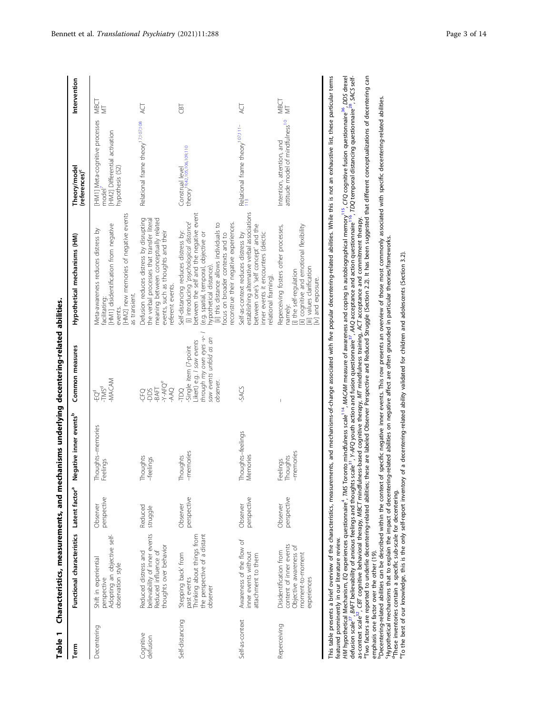| u<br>mea<br>aracterist |  |
|------------------------|--|
| t<br>able<br>as        |  |

<span id="page-2-0"></span>

| Term                  | Functional characteristics Latent factor <sup>a</sup> Negative inner events <sup>b</sup>                       |                         |                                  | Common measures                                                                                                                      | Hypothetical mechanisms (HM)                                                                                                                                                                                                                                                                                           | Theory/model<br>(references) <sup>c</sup>                                                               | Intervention |
|-----------------------|----------------------------------------------------------------------------------------------------------------|-------------------------|----------------------------------|--------------------------------------------------------------------------------------------------------------------------------------|------------------------------------------------------------------------------------------------------------------------------------------------------------------------------------------------------------------------------------------------------------------------------------------------------------------------|---------------------------------------------------------------------------------------------------------|--------------|
| Decentering           | Adopting an objective self-<br>Shift in experiential<br>observation style<br>perspective                       | perspective<br>Observer | Thoughts-memories<br>Feelings    | MACAM<br>-TMS <sup>d</sup><br>ģ                                                                                                      | [HM2] new memories of negative events<br>[HM1] disidentification from negative<br>Meta-awareness reduces distress by<br>as transient.<br>acilitating:<br>events.                                                                                                                                                       | [HM1] Meta-cognitive processes<br>[HM2] Differential activation<br>ypothesis (52)<br>model <sup>'</sup> | MBCT         |
| Cognitive<br>defusion | believability of inner events<br>thoughts over behavior<br>Reduced distress and<br>Reduced influence of        | Reduced<br>struggle     | Thoughts<br>-feelings            | ር 25<br>የአፍር የ<br>የአፍር የ<br>የአፍር                                                                                                     | Defusion reduces distress by disrupting<br>the verbal processes that transfer literal<br>meaning between conceptually related<br>events, such as thoughts and their<br>eferent events.                                                                                                                                 | Relational frame theory <sup>17,107,108</sup>                                                           | Ř            |
| Self-distancing       | Thinking about things from<br>the perspective of a distant<br>'Stepping back' from<br>past events<br>observer  | perspective<br>Observer | memories<br>Thoughts             | through my own eyes -v-1<br>saw events unfold as an<br>lkert) e.g. I saw events<br>-Single item (7-point<br>observer.<br><b>DOI-</b> | between the self and the negative event<br>[i] introducing 'psychological distance'<br>econstrue their negative experiences.<br>[ii] this distance allows individuals to<br>Self-distancing reduces distress by:<br>ocus on broader contexts and to<br>(e.g. spatial, temporal, objective or<br>vpothetical distance). | theory <sup>19,42,105,106,109,110</sup><br>Construal level                                              | <b>GFT</b>   |
| Self-as-context       | Awareness of the flow of<br>inner events without<br>attachment to them                                         | perspective<br>Observer | Thoughts-feelings<br>Memories    | -SACS                                                                                                                                | establishing alternative verbal associations<br>between one's 'self concept' and the<br>Self-as-context reduces distress by<br>inner events it encounters (deictic<br>relational framing).                                                                                                                             | Relational frame theory <sup>107,111-</sup>                                                             | Ų            |
| Reperceiving          | content of inner events<br>Objective awareness of<br>Disidentification from<br>moment-to-moment<br>experiences | perspective<br>Observer | -memories<br>houghts<br>Feelings |                                                                                                                                      | [ii] cognitive and emotional flexibility<br>Reperceiving fosters other processes,<br>[iii] values clarification<br>[i] the self-regulation<br>[iv] and exposure.<br>namely:                                                                                                                                            | attitude model of mindfulness <sup>10</sup><br>Intention, attention, and                                | NBCT<br>NBCT |
|                       |                                                                                                                |                         |                                  |                                                                                                                                      | This table procents a brief must interpretenting processes the comments are and the processes and with the content of the content of the content of these particular terms.                                                                                                                                            |                                                                                                         |              |

This table presents a brief overview of the characteristics, measurements, and mechanisms-of-change associated with five popular decentering-related abilities. While this is not an exhaustive list, these particular terms featured prominently in our literature review. featured prominently in our literature review.<br>HM hypothetical Mechanism, EQ experiences questionnaire<sup>4</sup>, TMS Toronto mindfulness scale<sup>114</sup>, MACAM measure of awareness and coping in autobiographical memory<sup>115</sup>, CFQ cogn

<sup>a</sup>Two factors are reported to underlie decentering-related abilities; these are labeled Observer Perspective and Reduced Struggle (Section 2.2). It has been suggested that different conceptualizations of decentering can TMS Toronto mindfulness scale[114](#page-13-0), MACAM measure of awareness and coping in autobiographical memor[y115](#page-13-0), CFQ cognitive fusion questionnaire[36](#page-11-0), DDS drexel defusion scale<sup>27</sup>, BAFT believability of anxious feelings and thoughts scale<sup>31</sup>, Y-AFO youth action and fusion questionmaire<sup>37,</sup> AAQ acceptance and action questionnaire<sup>116</sup>, TDQ temporal distancing questionnaire<sup>89</sup>, S defusion scale<sup>27</sup>, BAFT believability of anxious feelings and thoughts scale<sup>31</sup>, Y-AFQ youth action and fusion questionnaire<sup>[37](#page-11-0)</sup>, AAQ acceptance and action questionnaire<sup>117</sup>, TDQ temporal distancing questionnaire<sup>[28](#page-11-0)</sup>, S as-context scale<sup>[32](#page-11-0)</sup>, CBT cognitive behavioral therapy, *MBCT* mindfulness-based cognitive therapy, MT mindfulness training, ACT acceptance and commitment therapy.<br><sup>T</sup>ivo factors are reported to underlie decentering-relate HM hypothetical Mechanism, EQ experiences questionnaire<sup>4</sup> emphasis one factor over the other (19). emphasis one factor over the other (19).

"Decentering-related abilities can be described within the context of specific negative inner events. This row presents an overview of those most commonly associated with specific decentering-related abilities.<br>"Hypothetic "Decentering-related abilities can be described within the context of specific negative inner events. This row presents an overview of those most commonly associated with specific decentering-related abilities.<br>"Hypothetic

<sup>d</sup>These inventories contain a specific sub-scale for decentering.<br><sup>e</sup>To the best of our knowledge, this is the only self-report inventory of a decentering-related ability validated for children and adolescents (Section 3.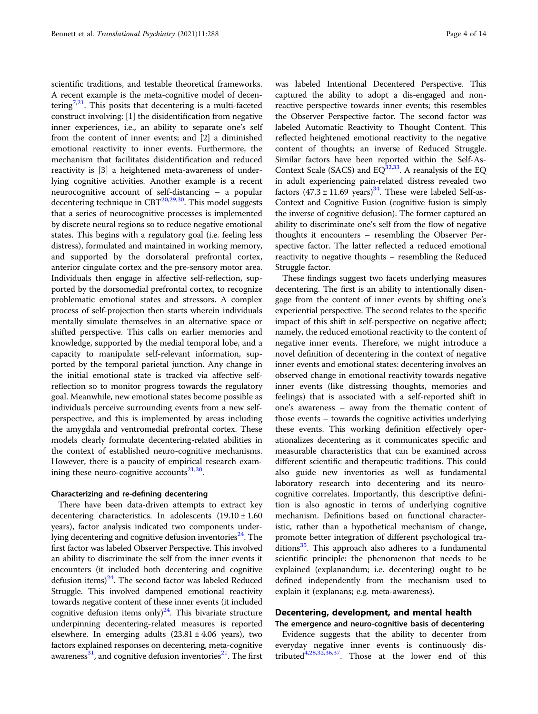scientific traditions, and testable theoretical frameworks. A recent example is the meta-cognitive model of decen-tering<sup>[7](#page-11-0),[21](#page-11-0)</sup>. This posits that decentering is a multi-faceted construct involving: [1] the disidentification from negative inner experiences, i.e., an ability to separate one's self from the content of inner events; and [2] a diminished emotional reactivity to inner events. Furthermore, the mechanism that facilitates disidentification and reduced reactivity is [3] a heightened meta-awareness of underlying cognitive activities. Another example is a recent neurocognitive account of self-distancing – a popular decentering technique in  $CBT^{20,29,30}$  $CBT^{20,29,30}$  $CBT^{20,29,30}$ . This model suggests that a series of neurocognitive processes is implemented by discrete neural regions so to reduce negative emotional states. This begins with a regulatory goal (i.e. feeling less distress), formulated and maintained in working memory, and supported by the dorsolateral prefrontal cortex, anterior cingulate cortex and the pre-sensory motor area. Individuals then engage in affective self-reflection, supported by the dorsomedial prefrontal cortex, to recognize problematic emotional states and stressors. A complex process of self-projection then starts wherein individuals mentally simulate themselves in an alternative space or shifted perspective. This calls on earlier memories and knowledge, supported by the medial temporal lobe, and a capacity to manipulate self-relevant information, supported by the temporal parietal junction. Any change in the initial emotional state is tracked via affective selfreflection so to monitor progress towards the regulatory goal. Meanwhile, new emotional states become possible as individuals perceive surrounding events from a new selfperspective, and this is implemented by areas including the amygdala and ventromedial prefrontal cortex. These models clearly formulate decentering-related abilities in the context of established neuro-cognitive mechanisms. However, there is a paucity of empirical research examining these neuro-cognitive accounts $^{21,30}$  $^{21,30}$  $^{21,30}$ .

#### Characterizing and re-defining decentering

There have been data-driven attempts to extract key decentering characteristics. In adolescents  $(19.10 \pm 1.60$ years), factor analysis indicated two components underlying decentering and cognitive defusion inventories $^{24}$  $^{24}$  $^{24}$ . The first factor was labeled Observer Perspective. This involved an ability to discriminate the self from the inner events it encounters (it included both decentering and cognitive defusion items) $^{24}$ . The second factor was labeled Reduced Struggle. This involved dampened emotional reactivity towards negative content of these inner events (it included cognitive defusion items only)<sup>[24](#page-11-0)</sup>. This bivariate structure underpinning decentering-related measures is reported elsewhere. In emerging adults  $(23.81 \pm 4.06 \text{ years})$ , two factors explained responses on decentering, meta-cognitive awareness<sup>31</sup>, and cognitive defusion inventories<sup>21</sup>. The first was labeled Intentional Decentered Perspective. This captured the ability to adopt a dis-engaged and nonreactive perspective towards inner events; this resembles the Observer Perspective factor. The second factor was labeled Automatic Reactivity to Thought Content. This reflected heightened emotional reactivity to the negative content of thoughts; an inverse of Reduced Struggle. Similar factors have been reported within the Self-As-Context Scale (SACS) and  $EQ^{32,33}$ . A reanalysis of the EQ in adult experiencing pain-related distress revealed two factors  $(47.3 \pm 11.69 \text{ years})^{34}$ . These were labeled Self-as-Context and Cognitive Fusion (cognitive fusion is simply the inverse of cognitive defusion). The former captured an ability to discriminate one's self from the flow of negative thoughts it encounters – resembling the Observer Perspective factor. The latter reflected a reduced emotional reactivity to negative thoughts – resembling the Reduced Struggle factor.

These findings suggest two facets underlying measures decentering. The first is an ability to intentionally disengage from the content of inner events by shifting one's experiential perspective. The second relates to the specific impact of this shift in self-perspective on negative affect; namely, the reduced emotional reactivity to the content of negative inner events. Therefore, we might introduce a novel definition of decentering in the context of negative inner events and emotional states: decentering involves an observed change in emotional reactivity towards negative inner events (like distressing thoughts, memories and feelings) that is associated with a self-reported shift in one's awareness – away from the thematic content of those events – towards the cognitive activities underlying these events. This working definition effectively operationalizes decentering as it communicates specific and measurable characteristics that can be examined across different scientific and therapeutic traditions. This could also guide new inventories as well as fundamental laboratory research into decentering and its neurocognitive correlates. Importantly, this descriptive definition is also agnostic in terms of underlying cognitive mechanism. Definitions based on functional characteristic, rather than a hypothetical mechanism of change, promote better integration of different psychological traditions $35$ . This approach also adheres to a fundamental scientific principle: the phenomenon that needs to be explained (explanandum; i.e. decentering) ought to be defined independently from the mechanism used to explain it (explanans; e.g. meta-awareness).

# Decentering, development, and mental health

The emergence and neuro-cognitive basis of decentering Evidence suggests that the ability to decenter from everyday negative inner events is continuously distributed[4,28,32,36,37.](#page-11-0) Those at the lower end of this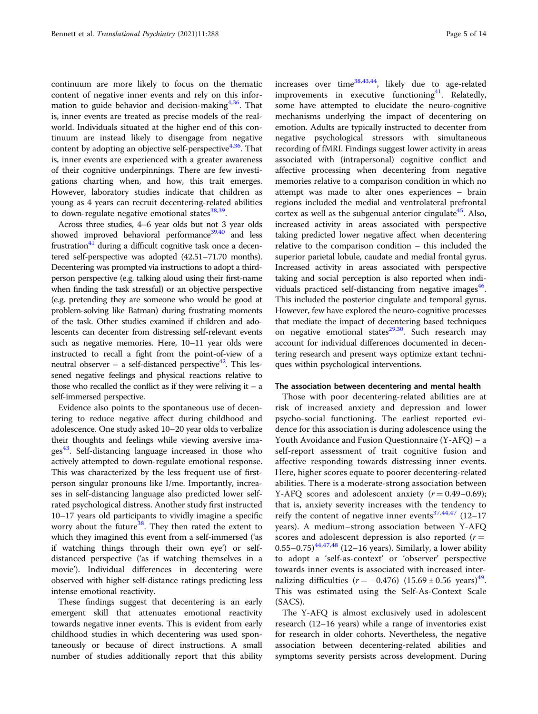continuum are more likely to focus on the thematic content of negative inner events and rely on this information to guide behavior and decision-making $4,36$  $4,36$  $4,36$ . That is, inner events are treated as precise models of the realworld. Individuals situated at the higher end of this continuum are instead likely to disengage from negative content by adopting an objective self-perspective<sup> $4,36$ </sup>. That is, inner events are experienced with a greater awareness of their cognitive underpinnings. There are few investigations charting when, and how, this trait emerges. However, laboratory studies indicate that children as young as 4 years can recruit decentering-related abilities to down-regulate negative emotional states $38,39$  $38,39$  $38,39$ .

Across three studies, 4–6 year olds but not 3 year olds showed improved behavioral performance $39,40$  $39,40$  and less frustration $41$  during a difficult cognitive task once a decentered self-perspective was adopted (42.51–71.70 months). Decentering was prompted via instructions to adopt a thirdperson perspective (e.g. talking aloud using their first-name when finding the task stressful) or an objective perspective (e.g. pretending they are someone who would be good at problem-solving like Batman) during frustrating moments of the task. Other studies examined if children and adolescents can decenter from distressing self-relevant events such as negative memories. Here, 10–11 year olds were instructed to recall a fight from the point-of-view of a neutral observer – a self-distanced perspective<sup>42</sup>. This lessened negative feelings and physical reactions relative to those who recalled the conflict as if they were reliving it  $-$  a self-immersed perspective.

Evidence also points to the spontaneous use of decentering to reduce negative affect during childhood and adolescence. One study asked 10–20 year olds to verbalize their thoughts and feelings while viewing aversive images<sup>43</sup>. Self-distancing language increased in those who actively attempted to down-regulate emotional response. This was characterized by the less frequent use of firstperson singular pronouns like I/me. Importantly, increases in self-distancing language also predicted lower selfrated psychological distress. Another study first instructed 10–17 years old participants to vividly imagine a specific worry about the future $38$ . They then rated the extent to which they imagined this event from a self-immersed ('as if watching things through their own eye') or selfdistanced perspective ('as if watching themselves in a movie'). Individual differences in decentering were observed with higher self-distance ratings predicting less intense emotional reactivity.

These findings suggest that decentering is an early emergent skill that attenuates emotional reactivity towards negative inner events. This is evident from early childhood studies in which decentering was used spontaneously or because of direct instructions. A small number of studies additionally report that this ability increases over time<sup>[38,43,44](#page-11-0)</sup>, likely due to age-related improvements in executive functioning $41$ . Relatedly, some have attempted to elucidate the neuro-cognitive mechanisms underlying the impact of decentering on emotion. Adults are typically instructed to decenter from negative psychological stressors with simultaneous recording of fMRI. Findings suggest lower activity in areas associated with (intrapersonal) cognitive conflict and affective processing when decentering from negative memories relative to a comparison condition in which no attempt was made to alter ones experiences – brain regions included the medial and ventrolateral prefrontal cortex as well as the subgenual anterior cingulate<sup>[45](#page-11-0)</sup>. Also, increased activity in areas associated with perspective taking predicted lower negative affect when decentering relative to the comparison condition – this included the superior parietal lobule, caudate and medial frontal gyrus. Increased activity in areas associated with perspective taking and social perception is also reported when individuals practiced self-distancing from negative images $46$ . This included the posterior cingulate and temporal gyrus. However, few have explored the neuro-cognitive processes that mediate the impact of decentering based techniques on negative emotional states $29,30$ . Such research may account for individual differences documented in decentering research and present ways optimize extant techniques within psychological interventions.

# The association between decentering and mental health

Those with poor decentering-related abilities are at risk of increased anxiety and depression and lower psycho-social functioning. The earliest reported evidence for this association is during adolescence using the Youth Avoidance and Fusion Questionnaire (Y-AFQ) – a self-report assessment of trait cognitive fusion and affective responding towards distressing inner events. Here, higher scores equate to poorer decentering-related abilities. There is a moderate-strong association between Y-AFQ scores and adolescent anxiety  $(r = 0.49 - 0.69)$ ; that is, anxiety severity increases with the tendency to reify the content of negative inner events<sup>[37](#page-11-0),[44,47](#page-11-0)</sup> (12-17 years). A medium–strong association between Y-AFQ scores and adolescent depression is also reported  $(r =$ 0.55–0.75) $44,47,48$  $44,47,48$  $44,47,48$  (12–16 years). Similarly, a lower ability to adopt a 'self-as-context' or 'observer' perspective towards inner events is associated with increased internalizing difficulties  $(r = -0.476)$  (15.69 ± 0.56 years)<sup>[49](#page-11-0)</sup>. This was estimated using the Self-As-Context Scale (SACS).

The Y-AFQ is almost exclusively used in adolescent research (12–16 years) while a range of inventories exist for research in older cohorts. Nevertheless, the negative association between decentering-related abilities and symptoms severity persists across development. During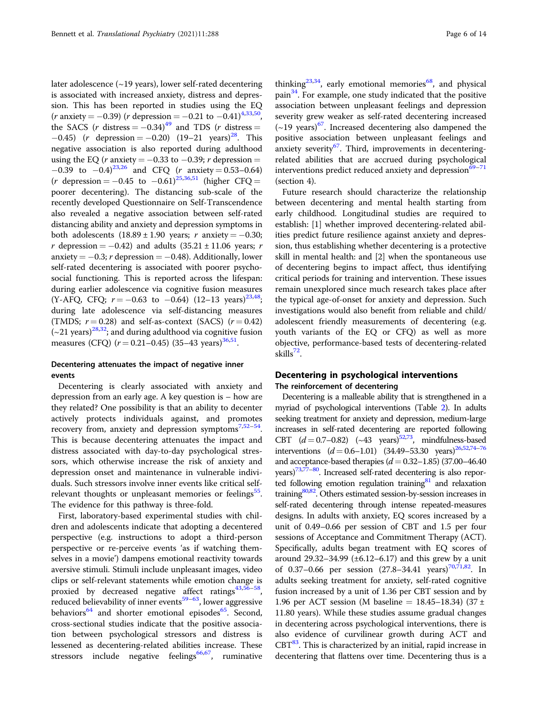later adolescence (~19 years), lower self-rated decentering is associated with increased anxiety, distress and depression. This has been reported in studies using the EQ  $(r \text{ anxiety} = -0.39)$  (r depression =  $-0.21$  to  $-0.41)^{4,33,50}$  $-0.41)^{4,33,50}$  $-0.41)^{4,33,50}$ , the SACS (r distress =  $-0.34$ )<sup>[49](#page-11-0)</sup> and TDS (r distress =  $-0.45$ ) (r depression =  $-0.20$ ) (19–21 years)<sup>28</sup>. This negative association is also reported during adulthood using the EQ (*r* anxiety =  $-0.33$  to  $-0.39$ ; *r* depression =  $-0.39$  to  $-0.4$ )<sup>[23,26](#page-11-0)</sup> and CFQ (*r* anxiety = 0.53–0.64)  $(r \text{ depression} = -0.45 \text{ to } -0.61)^{25,36,51}$  $(r \text{ depression} = -0.45 \text{ to } -0.61)^{25,36,51}$  $(r \text{ depression} = -0.45 \text{ to } -0.61)^{25,36,51}$  $(r \text{ depression} = -0.45 \text{ to } -0.61)^{25,36,51}$  (higher CFQ = poorer decentering). The distancing sub-scale of the recently developed Questionnaire on Self-Transcendence also revealed a negative association between self-rated distancing ability and anxiety and depression symptoms in both adolescents  $(18.89 \pm 1.90 \text{ years}; r \text{ anxiety} = -0.30;$ r depression =  $-0.42$ ) and adults (35.21 ± 11.06 years; r anxiety =  $-0.3$ ; r depression =  $-0.48$ ). Additionally, lower self-rated decentering is associated with poorer psychosocial functioning. This is reported across the lifespan: during earlier adolescence via cognitive fusion measures (Y-AFQ, CFQ;  $r = -0.63$  to  $-0.64$ ) (12–13 years)<sup>[23,48](#page-11-0)</sup>; during late adolescence via self-distancing measures (TMDS;  $r = 0.28$ ) and self-as-context (SACS)  $(r = 0.42)$  $(-21 \text{ years})^{28,32}$  $(-21 \text{ years})^{28,32}$  $(-21 \text{ years})^{28,32}$  $(-21 \text{ years})^{28,32}$  $(-21 \text{ years})^{28,32}$ ; and during adulthood via cognitive fusion measures (CFO)  $(r = 0.21 - 0.45)$  (35–43 years)<sup>[36](#page-11-0)[,51](#page-12-0)</sup>.

# Decentering attenuates the impact of negative inner events

Decentering is clearly associated with anxiety and depression from an early age. A key question is – how are they related? One possibility is that an ability to decenter actively protects individuals against, and promotes recovery from, anxiety and depression symptoms $7,52-54$  $7,52-54$  $7,52-54$  $7,52-54$ . This is because decentering attenuates the impact and distress associated with day-to-day psychological stressors, which otherwise increase the risk of anxiety and depression onset and maintenance in vulnerable individuals. Such stressors involve inner events like critical self-relevant thoughts or unpleasant memories or feelings<sup>[55](#page-12-0)</sup>. The evidence for this pathway is three-fold.

First, laboratory-based experimental studies with children and adolescents indicate that adopting a decentered perspective (e.g. instructions to adopt a third-person perspective or re-perceive events 'as if watching themselves in a movie') dampens emotional reactivity towards aversive stimuli. Stimuli include unpleasant images, video clips or self-relevant statements while emotion change is proxied by decreased negative affect ratings $43,56-58$  $43,56-58$  $43,56-58$  $43,56-58$ , reduced believability of inner events<sup>[59](#page-12-0)–63</sup>, lower aggressive behaviors<sup>[64](#page-12-0)</sup> and shorter emotional episodes<sup>[65](#page-12-0)</sup>. Second, cross-sectional studies indicate that the positive association between psychological stressors and distress is lessened as decentering-related abilities increase. These stressors include negative feelings<sup>66,67</sup>, ruminative

thinking<sup>23,34</sup>, early emotional memories<sup>[68](#page-12-0)</sup>, and physical pain[34.](#page-11-0) For example, one study indicated that the positive association between unpleasant feelings and depression severity grew weaker as self-rated decentering increased  $(-19 \text{ years})$ <sup>67</sup>. Increased decentering also dampened the positive association between unpleasant feelings and anxiety severity<sup>[67](#page-12-0)</sup>. Third, improvements in decenteringrelated abilities that are accrued during psychological interventions predict reduced anxiety and depression $69-71$  $69-71$  $69-71$ (section 4).

Future research should characterize the relationship between decentering and mental health starting from early childhood. Longitudinal studies are required to establish: [1] whether improved decentering-related abilities predict future resilience against anxiety and depression, thus establishing whether decentering is a protective skill in mental health: and [2] when the spontaneous use of decentering begins to impact affect, thus identifying critical periods for training and intervention. These issues remain unexplored since much research takes place after the typical age-of-onset for anxiety and depression. Such investigations would also benefit from reliable and child/ adolescent friendly measurements of decentering (e.g. youth variants of the EQ or CFQ) as well as more objective, performance-based tests of decentering-related skills $72$ .

# Decentering in psychological interventions The reinforcement of decentering

Decentering is a malleable ability that is strengthened in a myriad of psychological interventions (Table [2](#page-6-0)). In adults seeking treatment for anxiety and depression, medium-large increases in self-rated decentering are reported following CBT  $(d=0.7-0.82)$   $(\sim 43$  years)<sup>52,73</sup>, mindfulness-based interventions  $(d = 0.6-1.01)$   $(34.49-53.30 \text{ years})^{26.52,74-76}$  $(34.49-53.30 \text{ years})^{26.52,74-76}$  $(34.49-53.30 \text{ years})^{26.52,74-76}$ and acceptance-based therapies  $(d = 0.32 - 1.85)$  (37.00–46.40) years)<sup>73,77–[80](#page-12-0)</sup>. Increased self-rated decentering is also reported following emotion regulation training $81$  and relaxation training<sup>80,82</sup>. Others estimated session-by-session increases in self-rated decentering through intense repeated-measures designs. In adults with anxiety, EQ scores increased by a unit of 0.49–0.66 per session of CBT and 1.5 per four sessions of Acceptance and Commitment Therapy (ACT). Specifically, adults began treatment with EQ scores of around 29.32–34.99  $(\pm 6.12 - 6.17)$  and this grew by a unit of 0.37-0.66 per session (27.8-34.41 years)<sup>70,71,82</sup>. In adults seeking treatment for anxiety, self-rated cognitive fusion increased by a unit of 1.36 per CBT session and by 1.96 per ACT session (M baseline = 18.45–18.34) (37  $\pm$ 11.80 years). While these studies assume gradual changes in decentering across psychological interventions, there is also evidence of curvilinear growth during ACT and CBT<sup>83</sup>. This is characterized by an initial, rapid increase in decentering that flattens over time. Decentering thus is a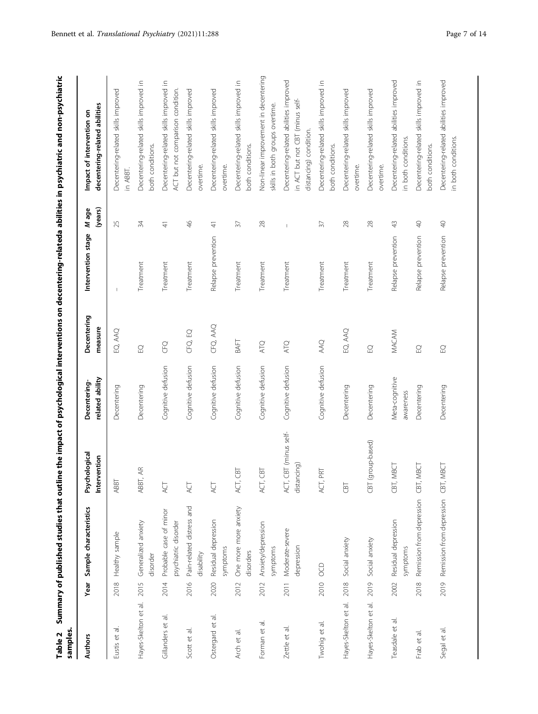| samples.<br>Table 2                 |      |                                                |                                         |                                 |                                                                    |                          |                  | Summary of published studies that outline the impact of psychological interventions on decentering-relateda abilities in psychiatric and non-psychiatric |
|-------------------------------------|------|------------------------------------------------|-----------------------------------------|---------------------------------|--------------------------------------------------------------------|--------------------------|------------------|----------------------------------------------------------------------------------------------------------------------------------------------------------|
| <b>Authors</b>                      |      | Year Sample characteristics                    | Psychological<br>vention<br>Inter       | related ability<br>Decentering- | Decentering<br>measure                                             | Intervention stage       | (years)<br>M age | decentering-related abilities<br>Impact of intervention on                                                                                               |
| $\overline{\sigma}$<br>Eustis et    | 2018 | Healthy sample                                 | ABBT                                    | Decentering                     | EQ, AAQ                                                            | $\overline{\phantom{a}}$ | 25               | Decentering-related skills improved<br>in ABBT.                                                                                                          |
| Hayes-Skelton et al.                | 2015 | Generalized anxiety<br>disorder                | $\rm{4R}$<br>ABBT,                      | Decentering                     | $\ensuremath{\mathop{\boxtimes}\limits_{\scriptscriptstyle \sim}}$ | Treatment                | 34               | Decentering-related skills improved in<br>both conditions.                                                                                               |
| Gillanders et al.                   | 2014 | Probable case of minor<br>psychiatric disorder | ЙŹ                                      | Cognitive defusion              | CFQ                                                                | Treatment                | $\frac{4}{5}$    | Decentering-related skills improved in<br>ACT but not comparison condition.                                                                              |
| $\overline{\sigma}$<br>Scott et     | 2016 | Pain-related distress and<br>disability        | ŔС                                      | Cognitive defusion              | CFQ, EQ                                                            | Treatment                | $\frac{4}{5}$    | Decentering-related skills improved<br>overtime.                                                                                                         |
| $\overline{\sigma}$<br>Ostergard et | 2020 | Residual depression<br>symptoms                | ACT                                     | Cognitive defusion              | CFQ, AAQ                                                           | Relapse prevention       | $\frac{4}{3}$    | Decentering-related skills improved<br>overtime.                                                                                                         |
| $\overline{\sigma}$<br>Arch et      | 2012 | One more more anxiety<br>disorders             | <b>CBT</b><br>ACT,                      | Cognitive defusion              | BAFT                                                               | Treatment                | $\overline{37}$  | Decentering-related skills improved in<br>both conditions.                                                                                               |
| Forman et al.                       | 2012 | Anxiety/depression<br>symptoms                 | <b>ED</b><br>ACT,                       | Cognitive defusion              | ATQ                                                                | Treatment                | $28$             | Non-linear improvement in decentering<br>skills in both groups overtime.                                                                                 |
| Zettle et al.                       | 2011 | Moderate-severe<br>depression                  | CBT (minus self-<br>distancing)<br>ACT, | Cognitive defusion              | ATQ                                                                | Treatment                | $\overline{1}$   | Decentering-related abilities improved<br>in ACT but not CBT (minus self-<br>distancing) condition.                                                      |
| Twohig et al.                       | 2010 | OCD                                            | PRT<br>ACT,                             | Cognitive defusion              | AAQ                                                                | Treatment                | $\overline{57}$  | Decentering-related skills improved in<br>both conditions.                                                                                               |
| Hayes-Skelton et al.                | 2018 | Social anxiety                                 | <b>CBT</b>                              | Decentering                     | EQ, AAQ                                                            | Treatment                | $28$             | Decentering-related skills improved<br>overtime.                                                                                                         |
| Hayes-Skelton et al.                | 2019 | Social anxiety                                 | (group-based)<br>CBT                    | Decentering                     | $\ensuremath{\mathop{\boxtimes}\limits_{\smile}}$                  | Treatment                | $28$             | Decentering-related skills improved<br>overtime.                                                                                                         |
| $\overline{\sigma}$<br>Teasdale et  | 2002 | Residual depression<br>symptoms                | MBCT<br>CBT,                            | Meta-cognitive<br>awareness     | MACAM                                                              | Relapse prevention       | $\frac{1}{2}$    | abilities improved<br>Decentering-related<br>in both conditions.                                                                                         |
| ᠊ᢛ<br>Frab et                       | 2018 | Remission from depression                      | CBT, MBCT                               | Decentering                     | $\rm{C}$                                                           | Relapse prevention       | $\sqrt{2}$       | Decentering-related skills improved in<br>both conditions.                                                                                               |
| Segal et al.                        |      | 2019 Remission from depression                 | MBCT<br>CBT,                            | Decentering                     | $\Xi$                                                              | Relapse prevention       | $\bigcirc$       | Decentering-related abilities improved<br>in both conditions.                                                                                            |

<span id="page-6-0"></span>Bennett et al. Translational Psychiatry (2021)11:288 Page 7 of 14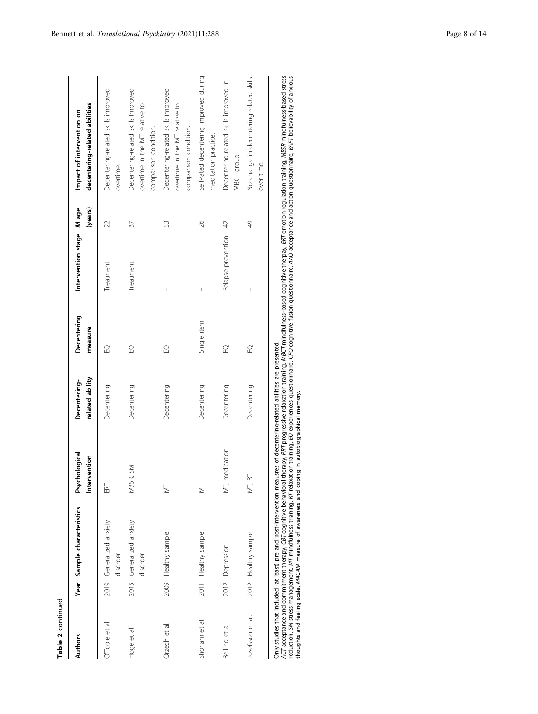| N |
|---|
|   |
| Ξ |
|   |
|   |

| Authors          | Year Sample characteristics          | Psychological<br>Intervention | related ability<br>Decentering- | Decentering<br>measure | Intervention stage Mage  | (years)       | decentering-related abilities<br>Impact of intervention on                                     |
|------------------|--------------------------------------|-------------------------------|---------------------------------|------------------------|--------------------------|---------------|------------------------------------------------------------------------------------------------|
| O'Toole et al.   | 2019 Generalized anxiety<br>disorder | ERT                           | Decentering                     | $\Omega$               | Treatment                | 22            | Decentering-related skills improved<br>overtime.                                               |
| Hoge et al.      | 2015 Generalized anxiety<br>disorder | $\gtrapprox$<br>MBSR,         | Decentering                     | $\Omega$               | Treatment                | 37            | Decentering-related skills improved<br>overtime in the MT relative to<br>comparison condition. |
| Orzech et al.    | 2009 Healthy sample                  | ₹                             | Decentering                     | $\Omega$               | $\overline{\phantom{a}}$ | 53            | Decentering-related skills improved<br>overtime in the MT relative to<br>comparison condition. |
| Shoham et al.    | 2011 Healthy sample                  | ₹                             | Decentering                     | Single item            | $\overline{\phantom{a}}$ | 26            | Self-rated decentering improved during<br>meditation practice.                                 |
| Beiling et al.   | 2012 Depression                      | MT, medication                | Decentering                     | $\Omega$               | Relapse prevention 42    |               | Decentering-related skills improved in<br>MBCT group                                           |
| losefsson et al. | 2012 Healthy sample                  | MT, RT                        | Decentering                     | $\Omega$               |                          | $\frac{1}{2}$ | No change in decentering-related skills<br>over time.                                          |
|                  |                                      |                               | $\frac{1}{2}$                   |                        |                          |               |                                                                                                |

Only studies that included (at least) pre and post-intervention meausres of decentering-related abilities are presented.

Only studies that included (at least) pre and post-intervention meausres of decentering-related abilities are presented.<br>ACT acceptance and commitment therapy, CBT cognitive behavioral therapy, PRT progressive relation and ACT acceptance and commitment therapy, CBT cognitive behavioral therapy, PRT progressive relaxation traininglised cognitive therapy, ERT emotion regulation training, MBSR mindfulness-based stress reduction, SM stress management, MT mindfulness trianing, RT relaxation training, EQ experiences questionnaire, CFQ cognitive fusion questionnaire, AAQ acceptance and action questionnaire, BAFT believability of anxious thoughts and feeling scale, MACAM measure of awareness and coping in autobiographical memory.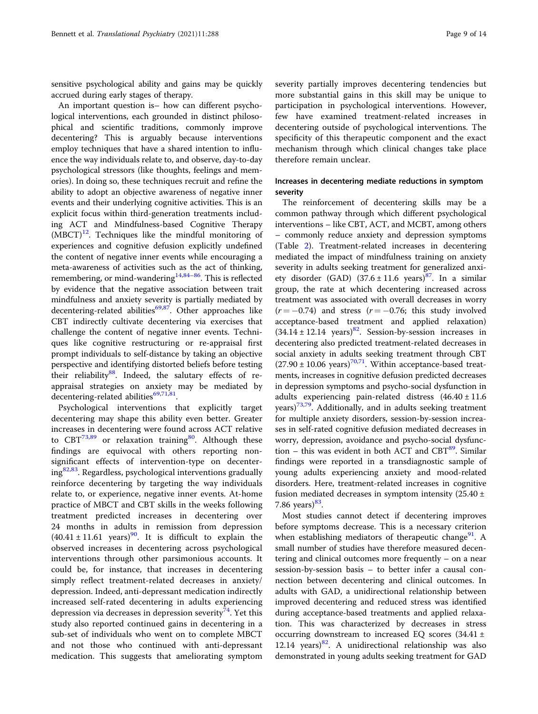sensitive psychological ability and gains may be quickly accrued during early stages of therapy.

An important question is– how can different psychological interventions, each grounded in distinct philosophical and scientific traditions, commonly improve decentering? This is arguably because interventions employ techniques that have a shared intention to influence the way individuals relate to, and observe, day-to-day psychological stressors (like thoughts, feelings and memories). In doing so, these techniques recruit and refine the ability to adopt an objective awareness of negative inner events and their underlying cognitive activities. This is an explicit focus within third-generation treatments including ACT and Mindfulness-based Cognitive Therapy  $(MBCT)^{12}$  $(MBCT)^{12}$  $(MBCT)^{12}$ . Techniques like the mindful monitoring of experiences and cognitive defusion explicitly undefined the content of negative inner events while encouraging a meta-awareness of activities such as the act of thinking, remembering, or mind-wandering<sup>[14](#page-11-0),[84](#page-12-0)–[86](#page-12-0)</sup>. This is reflected by evidence that the negative association between trait mindfulness and anxiety severity is partially mediated by decentering-related abilities $69,87$  $69,87$  $69,87$ . Other approaches like CBT indirectly cultivate decentering via exercises that challenge the content of negative inner events. Techniques like cognitive restructuring or re-appraisal first prompt individuals to self-distance by taking an objective perspective and identifying distorted beliefs before testing their reliability $88$ . Indeed, the salutary effects of reappraisal strategies on anxiety may be mediated by decentering-related abilities $69,71,81$ .

Psychological interventions that explicitly target decentering may shape this ability even better. Greater increases in decentering were found across ACT relative to  $CBT^{73,89}$  $CBT^{73,89}$  $CBT^{73,89}$  or relaxation training<sup>80</sup>. Although these findings are equivocal with others reporting nonsignificant effects of intervention-type on decenter-ing<sup>[82,83](#page-12-0)</sup>. Regardless, psychological interventions gradually reinforce decentering by targeting the way individuals relate to, or experience, negative inner events. At-home practice of MBCT and CBT skills in the weeks following treatment predicted increases in decentering over 24 months in adults in remission from depression  $(40.41 \pm 11.61 \text{ years})^{90}$ . It is difficult to explain the observed increases in decentering across psychological interventions through other parsimonious accounts. It could be, for instance, that increases in decentering simply reflect treatment-related decreases in anxiety/ depression. Indeed, anti-depressant medication indirectly increased self-rated decentering in adults experiencing depression via decreases in depression severity<sup>74</sup>. Yet this study also reported continued gains in decentering in a sub-set of individuals who went on to complete MBCT and not those who continued with anti-depressant medication. This suggests that ameliorating symptom

severity partially improves decentering tendencies but more substantial gains in this skill may be unique to participation in psychological interventions. However, few have examined treatment-related increases in decentering outside of psychological interventions. The specificity of this therapeutic component and the exact mechanism through which clinical changes take place therefore remain unclear.

# Increases in decentering mediate reductions in symptom severity

The reinforcement of decentering skills may be a common pathway through which different psychological interventions – like CBT, ACT, and MCBT, among others – commonly reduce anxiety and depression symptoms (Table [2\)](#page-6-0). Treatment-related increases in decentering mediated the impact of mindfulness training on anxiety severity in adults seeking treatment for generalized anxiety disorder (GAD)  $(37.6 \pm 11.6 \text{ years})^{87}$  $(37.6 \pm 11.6 \text{ years})^{87}$  $(37.6 \pm 11.6 \text{ years})^{87}$ . In a similar group, the rate at which decentering increased across treatment was associated with overall decreases in worry  $(r = -0.74)$  and stress  $(r = -0.76;$  this study involved acceptance-based treatment and applied relaxation)  $(34.14 \pm 12.14 \text{ years})^{82}$  $(34.14 \pm 12.14 \text{ years})^{82}$  $(34.14 \pm 12.14 \text{ years})^{82}$ . Session-by-session increases in decentering also predicted treatment-related decreases in social anxiety in adults seeking treatment through CBT  $(27.90 \pm 10.06 \text{ years})^{70,71}$  $(27.90 \pm 10.06 \text{ years})^{70,71}$  $(27.90 \pm 10.06 \text{ years})^{70,71}$  $(27.90 \pm 10.06 \text{ years})^{70,71}$  $(27.90 \pm 10.06 \text{ years})^{70,71}$ . Within acceptance-based treatments, increases in cognitive defusion predicted decreases in depression symptoms and psycho-social dysfunction in adults experiencing pain-related distress  $(46.40 \pm 11.6$ years)<sup>73,79</sup>. Additionally, and in adults seeking treatment for multiple anxiety disorders, session-by-session increases in self-rated cognitive defusion mediated decreases in worry, depression, avoidance and psycho-social dysfunction – this was evident in both ACT and  $CBT<sup>89</sup>$  $CBT<sup>89</sup>$  $CBT<sup>89</sup>$ . Similar findings were reported in a transdiagnostic sample of young adults experiencing anxiety and mood-related disorders. Here, treatment-related increases in cognitive fusion mediated decreases in symptom intensity  $(25.40 \pm 1)$ 7.86 years) $83$ .

Most studies cannot detect if decentering improves before symptoms decrease. This is a necessary criterion when establishing mediators of therapeutic change<sup>[91](#page-12-0)</sup>. A small number of studies have therefore measured decentering and clinical outcomes more frequently – on a near session-by-session basis – to better infer a causal connection between decentering and clinical outcomes. In adults with GAD, a unidirectional relationship between improved decentering and reduced stress was identified during acceptance-based treatments and applied relaxation. This was characterized by decreases in stress occurring downstream to increased EQ scores (34.41 ± 12.14 years) $82$ . A unidirectional relationship was also demonstrated in young adults seeking treatment for GAD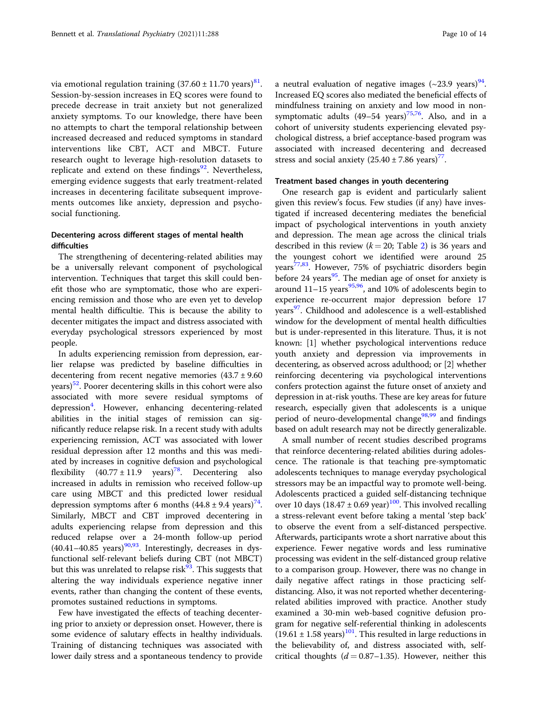via emotional regulation training  $(37.60 \pm 11.70 \text{ years})^{81}$  $(37.60 \pm 11.70 \text{ years})^{81}$  $(37.60 \pm 11.70 \text{ years})^{81}$ . Session-by-session increases in EQ scores were found to precede decrease in trait anxiety but not generalized anxiety symptoms. To our knowledge, there have been no attempts to chart the temporal relationship between increased decreased and reduced symptoms in standard interventions like CBT, ACT and MBCT. Future research ought to leverage high-resolution datasets to replicate and extend on these findings $92$ . Nevertheless, emerging evidence suggests that early treatment-related increases in decentering facilitate subsequent improvements outcomes like anxiety, depression and psychosocial functioning.

# Decentering across different stages of mental health difficulties

The strengthening of decentering-related abilities may be a universally relevant component of psychological intervention. Techniques that target this skill could benefit those who are symptomatic, those who are experiencing remission and those who are even yet to develop mental health difficultie. This is because the ability to decenter mitigates the impact and distress associated with everyday psychological stressors experienced by most people.

In adults experiencing remission from depression, earlier relapse was predicted by baseline difficulties in decentering from recent negative memories  $(43.7 \pm 9.60)$  $years$ )<sup>52</sup>. Poorer decentering skills in this cohort were also associated with more severe residual symptoms of depression<sup>[4](#page-11-0)</sup>. However, enhancing decentering-related abilities in the initial stages of remission can significantly reduce relapse risk. In a recent study with adults experiencing remission, ACT was associated with lower residual depression after 12 months and this was mediated by increases in cognitive defusion and psychological flexibility  $(40.77 \pm 11.9 \text{ years})^{78}$ . Decentering also increased in adults in remission who received follow-up care using MBCT and this predicted lower residual depression symptoms after 6 months  $(44.8 \pm 9.4 \text{ years})^{74}$  $(44.8 \pm 9.4 \text{ years})^{74}$  $(44.8 \pm 9.4 \text{ years})^{74}$ . Similarly, MBCT and CBT improved decentering in adults experiencing relapse from depression and this reduced relapse over a 24-month follow-up period  $(40.41-40.85)$  years)<sup>90,93</sup>. Interestingly, decreases in dysfunctional self-relevant beliefs during CBT (not MBCT) but this was unrelated to relapse risk $93$ . This suggests that altering the way individuals experience negative inner events, rather than changing the content of these events, promotes sustained reductions in symptoms.

Few have investigated the effects of teaching decentering prior to anxiety or depression onset. However, there is some evidence of salutary effects in healthy individuals. Training of distancing techniques was associated with lower daily stress and a spontaneous tendency to provide a neutral evaluation of negative images  $({\sim}23.9 \text{ years})^{94}$  $({\sim}23.9 \text{ years})^{94}$  $({\sim}23.9 \text{ years})^{94}$ . Increased EQ scores also mediated the beneficial effects of mindfulness training on anxiety and low mood in nonsymptomatic adults  $(49-54 \text{ years})^{75,76}$ . Also, and in a cohort of university students experiencing elevated psychological distress, a brief acceptance-based program was associated with increased decentering and decreased stress and social anxiety  $(25.40 \pm 7.86 \text{ years})^{77}$  $(25.40 \pm 7.86 \text{ years})^{77}$  $(25.40 \pm 7.86 \text{ years})^{77}$ .

# Treatment based changes in youth decentering

One research gap is evident and particularly salient given this review's focus. Few studies (if any) have investigated if increased decentering mediates the beneficial impact of psychological interventions in youth anxiety and depression. The mean age across the clinical trials described in this review ( $k = 20$ ; Table [2\)](#page-6-0) is 36 years and the youngest cohort we identified were around 25 years<sup>77,83</sup>. However, 75% of psychiatric disorders begin before 24 years<sup>[95](#page-12-0)</sup>. The median age of onset for anxiety is around  $11-15$  years<sup>[95](#page-12-0),[96](#page-12-0)</sup>, and 10% of adolescents begin to experience re-occurrent major depression before 17 years<sup>97</sup>. Childhood and adolescence is a well-established window for the development of mental health difficulties but is under-represented in this literature. Thus, it is not known: [1] whether psychological interventions reduce youth anxiety and depression via improvements in decentering, as observed across adulthood; or [2] whether reinforcing decentering via psychological interventions confers protection against the future onset of anxiety and depression in at-risk youths. These are key areas for future research, especially given that adolescents is a unique period of neuro-developmental change<sup>[98,99](#page-13-0)</sup> and findings based on adult research may not be directly generalizable.

A small number of recent studies described programs that reinforce decentering-related abilities during adolescence. The rationale is that teaching pre-symptomatic adolescents techniques to manage everyday psychological stressors may be an impactful way to promote well-being. Adolescents practiced a guided self-distancing technique over 10 days  $(18.47 \pm 0.69 \text{ year})^{100}$ . This involved recalling a stress-relevant event before taking a mental 'step back' to observe the event from a self-distanced perspective. Afterwards, participants wrote a short narrative about this experience. Fewer negative words and less ruminative processing was evident in the self-distanced group relative to a comparison group. However, there was no change in daily negative affect ratings in those practicing selfdistancing. Also, it was not reported whether decenteringrelated abilities improved with practice. Another study examined a 30-min web-based cognitive defusion program for negative self-referential thinking in adolescents  $(19.61 \pm 1.58 \text{ years})^{101}$  $(19.61 \pm 1.58 \text{ years})^{101}$  $(19.61 \pm 1.58 \text{ years})^{101}$ . This resulted in large reductions in the believability of, and distress associated with, selfcritical thoughts  $(d = 0.87 - 1.35)$ . However, neither this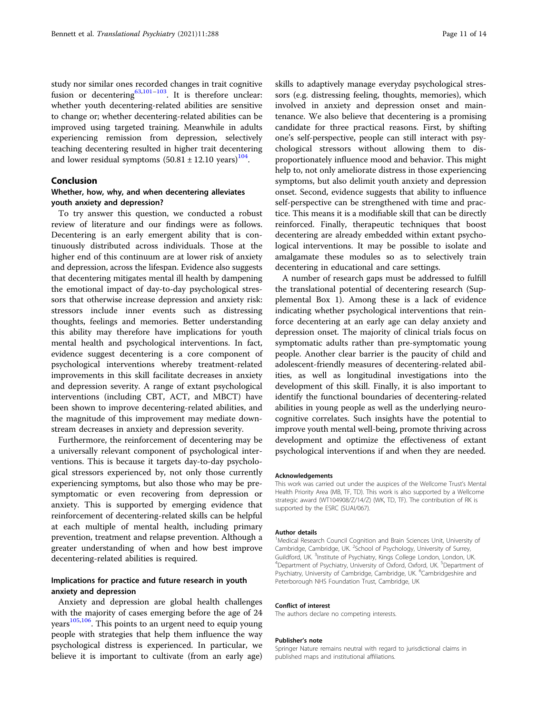study nor similar ones recorded changes in trait cognitive fusion or decentering<sup>[63](#page-12-0),[101](#page-13-0)-[103](#page-13-0)</sup>. It is therefore unclear: whether youth decentering-related abilities are sensitive to change or; whether decentering-related abilities can be improved using targeted training. Meanwhile in adults experiencing remission from depression, selectively teaching decentering resulted in higher trait decentering and lower residual symptoms  $(50.81 \pm 12.10 \text{ years})^{104}$  $(50.81 \pm 12.10 \text{ years})^{104}$  $(50.81 \pm 12.10 \text{ years})^{104}$ .

# Conclusion

# Whether, how, why, and when decentering alleviates youth anxiety and depression?

To try answer this question, we conducted a robust review of literature and our findings were as follows. Decentering is an early emergent ability that is continuously distributed across individuals. Those at the higher end of this continuum are at lower risk of anxiety and depression, across the lifespan. Evidence also suggests that decentering mitigates mental ill health by dampening the emotional impact of day-to-day psychological stressors that otherwise increase depression and anxiety risk: stressors include inner events such as distressing thoughts, feelings and memories. Better understanding this ability may therefore have implications for youth mental health and psychological interventions. In fact, evidence suggest decentering is a core component of psychological interventions whereby treatment-related improvements in this skill facilitate decreases in anxiety and depression severity. A range of extant psychological interventions (including CBT, ACT, and MBCT) have been shown to improve decentering-related abilities, and the magnitude of this improvement may mediate downstream decreases in anxiety and depression severity.

Furthermore, the reinforcement of decentering may be a universally relevant component of psychological interventions. This is because it targets day-to-day psychological stressors experienced by, not only those currently experiencing symptoms, but also those who may be presymptomatic or even recovering from depression or anxiety. This is supported by emerging evidence that reinforcement of decentering-related skills can be helpful at each multiple of mental health, including primary prevention, treatment and relapse prevention. Although a greater understanding of when and how best improve decentering-related abilities is required.

# Implications for practice and future research in youth anxiety and depression

Anxiety and depression are global health challenges with the majority of cases emerging before the age of 24 years<sup>[105](#page-13-0),106</sup>. This points to an urgent need to equip young people with strategies that help them influence the way psychological distress is experienced. In particular, we believe it is important to cultivate (from an early age)

skills to adaptively manage everyday psychological stressors (e.g. distressing feeling, thoughts, memories), which involved in anxiety and depression onset and maintenance. We also believe that decentering is a promising candidate for three practical reasons. First, by shifting one's self-perspective, people can still interact with psychological stressors without allowing them to disproportionately influence mood and behavior. This might help to, not only ameliorate distress in those experiencing symptoms, but also delimit youth anxiety and depression onset. Second, evidence suggests that ability to influence self-perspective can be strengthened with time and practice. This means it is a modifiable skill that can be directly reinforced. Finally, therapeutic techniques that boost decentering are already embedded within extant psychological interventions. It may be possible to isolate and amalgamate these modules so as to selectively train decentering in educational and care settings.

A number of research gaps must be addressed to fulfill the translational potential of decentering research (Supplemental Box 1). Among these is a lack of evidence indicating whether psychological interventions that reinforce decentering at an early age can delay anxiety and depression onset. The majority of clinical trials focus on symptomatic adults rather than pre-symptomatic young people. Another clear barrier is the paucity of child and adolescent-friendly measures of decentering-related abilities, as well as longitudinal investigations into the development of this skill. Finally, it is also important to identify the functional boundaries of decentering-related abilities in young people as well as the underlying neurocognitive correlates. Such insights have the potential to improve youth mental well-being, promote thriving across development and optimize the effectiveness of extant psychological interventions if and when they are needed.

#### Acknowledgements

This work was carried out under the auspices of the Wellcome Trust's Mental Health Priority Area (MB, TF, TD). This work is also supported by a Wellcome strategic award (WT104908/Z/14/Z) (WK, TD, TF). The contribution of RK is supported by the ESRC (SUAI/067).

#### Author details

<sup>1</sup>Medical Research Council Cognition and Brain Sciences Unit, University of Cambridge, Cambridge, UK. <sup>2</sup>School of Psychology, University of Surrey Guildford, UK. <sup>3</sup>Institute of Psychiatry, Kings College London, London, UK.<br><sup>4</sup>Department of Psychiatry, University of Oxford, Oxford, UK. <sup>5</sup>Department Department of Psychiatry, University of Oxford, Oxford, UK. <sup>5</sup>Department of Psychiatry, University of Cambridge, Cambridge, UK. <sup>6</sup>Cambridgeshire and Peterborough NHS Foundation Trust, Cambridge, UK

#### Conflict of interest

The authors declare no competing interests.

#### Publisher's note

Springer Nature remains neutral with regard to jurisdictional claims in published maps and institutional affiliations.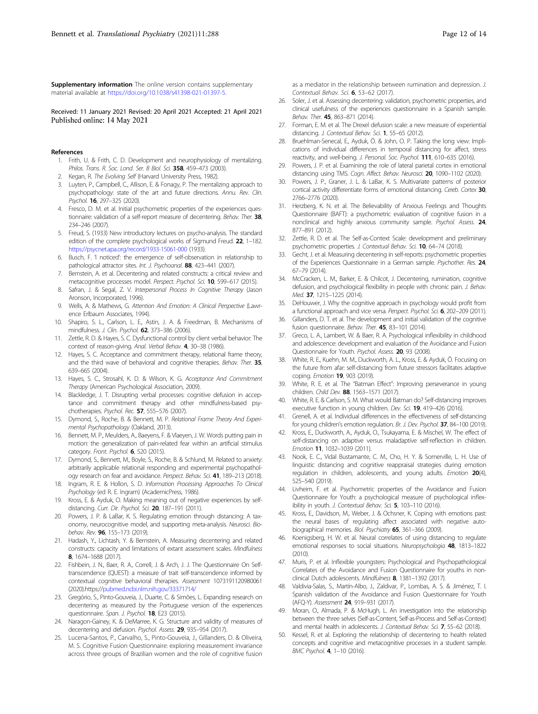<span id="page-11-0"></span>Supplementary information The online version contains supplementary material available at <https://doi.org/10.1038/s41398-021-01397-5>.

Received: 11 January 2021 Revised: 20 April 2021 Accepted: 21 April 2021 Published online: 14 May 2021

#### References

- 1. Frith, U. & Frith, C. D. Development and neurophysiology of mentalizing. Philos. Trans. R. Soc. Lond. Ser. B Biol. Sci. 358, 459-473 (2003).
- Kegan, R. The Evolving Self (Harvard University Press, 1982).
- Luyten, P., Campbell, C., Allison, E. & Fonagy, P. The mentalizing approach to psychopathology: state of the art and future directions. Annu. Rev. Clin. Psychol. 16, 297–325 (2020).
- Fresco, D. M. et al. Initial psychometric properties of the experiences questionnaire: validation of a self-report measure of decentering. Behav. Ther. 38, 234–246 (2007).
- 5. Freud, S. (1933) New introductory lectures on psycho-analysis. The standard edition of the complete psychological works of Sigmund Freud. 22, 1–182. <https://psycnet.apa.org/record/1933-15061-000> (1933).
- 6. Busch, F. 'I noticed': the emergence of self‐observation in relationship to pathological attractor sites. Int. J. Psychoanal. 88, 423-441 (2007).
- 7. Bernstein, A. et al. Decentering and related constructs: a critical review and metacognitive processes model. Perspect. Psychol. Sci. 10, 599–617 (2015).
- 8. Safran, J. & Segal, Z. V. Interpersonal Process In Cognitive Therapy (Jason Aronson, Incorporated, 1996).
- 9. Wells, A. & Mathews, G. Attention And Emotion: A Clinical Perspective (Lawrence Erlbaum Associates, 1994).
- 10. Shapiro, S. L., Carlson, L. E., Astin, J. A. & Freedman, B. Mechanisms of mindfulness. J. Clin. Psychol. 62, 373–386 (2006).
- 11. Zettle, R. D. & Hayes, S. C. Dysfunctional control by client verbal behavior: The context of reason-giving. Anal. Verbal Behav. 4, 30-38 (1986).
- 12. Hayes, S. C. Acceptance and commitment therapy, relational frame theory, and the third wave of behavioral and cognitive therapies. Behav. Ther. 35, 639–665 (2004).
- 13. Hayes, S. C., Strosahl, K. D. & Wilson, K. G. Acceptance And Commitment Therapy (American Psychological Association, 2009).
- Blackledge, J. T. Disrupting verbal processes: cognitive defusion in acceptance and commitment therapy and other mindfulness-based psychotherapies. Psychol. Rec. 57, 555–576 (2007).
- 15. Dymond, S., Roche, B. & Bennett, M. P. Relational Frame Theory And Experimental Psychopathology (Oakland, 2013).
- 16. Bennett, M. P., Meulders, A., Baeyens, F. & Vlaeyen, J. W. Words putting pain in motion: the generalization of pain-related fear within an artificial stimulus category. Front. Psychol. 6, 520 (2015).
- 17. Dymond, S., Bennett, M., Boyle, S., Roche, B. & Schlund, M. Related to anxiety: arbitrarily applicable relational responding and experimental psychopathology research on fear and avoidance. Perspect. Behav. Sci. 41, 189-213 (2018).
- 18. Ingram, R. E. & Hollon, S. D. Information Processing Approaches To Clinical Psychology (ed R. E. Ingram) (AcademicPress, 1986).
- Kross, E. & Ayduk, O. Making meaning out of negative experiences by selfdistancing. Curr. Dir. Psychol. Sci. 20, 187–191 (2011).
- 20. Powers, J. P. & LaBar, K. S. Regulating emotion through distancing: A taxonomy, neurocognitive model, and supporting meta-analysis. Neurosci. Biobehav. Rev. 96, 155-173 (2019).
- 21. Hadash, Y., Lichtash, Y. & Bernstein, A. Measuring decentering and related constructs: capacity and limitations of extant assessment scales. Mindfulness 8, 1674–1688 (2017).
- 22. Fishbein, J. N., Baer, R. A., Correll, J. & Arch, J. J. The Questionnaire On Selftranscendence (QUEST): a measure of trait self-transcendence informed by contextual cognitive behavioral therapies. Assessment 1073191120980061 (2020).https:/[/pubmed.ncbi.nlm.nih.gov/33371714/](https://pubmed.ncbi.nlm.nih.gov/33371714/)
- 23. Gregório, S., Pinto-Gouveia, J., Duarte, C. & Simões, L. Expanding research on decentering as measured by the Portuguese version of the experiences questionnaire. Span. J. Psychol. 18, E23 (2015).
- 24. Naragon-Gainey, K. & DeMarree, K. G. Structure and validity of measures of decentering and defusion. Psychol. Assess. 29, 935–954 (2017).
- 25. Lucena-Santos, P., Carvalho, S., Pinto-Gouveia, J., Gillanders, D. & Oliveira, M. S. Cognitive Fusion Questionnaire: exploring measurement invariance across three groups of Brazilian women and the role of cognitive fusion
- 26. Soler, J. et al. Assessing decentering: validation, psychometric properties, and clinical usefulness of the experiences questionnaire in a Spanish sample. Behav. Ther. 45, 863–871 (2014).
- 27. Forman, E. M. et al. The Drexel defusion scale: a new measure of experiential distancing. J. Contextual Behav. Sci. 1, 55-65 (2012).
- 28. Bruehlman-Senecal, E., Ayduk, Ö. & John, O. P. Taking the long view: Implications of individual differences in temporal distancing for affect, stress reactivity, and well-being. J. Personal. Soc. Psychol. 111, 610–635 (2016).
- 29. Powers, J. P. et al. Examining the role of lateral parietal cortex in emotional distancing using TMS. Cogn. Affect. Behav. Neurosci. 20, 1090-1102 (2020).
- 30. Powers, J. P., Graner, J. L. & LaBar, K. S. Multivariate patterns of posterior cortical activity differentiate forms of emotional distancing. Cereb. Cortex 30, 2766–2776 (2020).
- 31. Herzberg, K. N. et al. The Believability of Anxious Feelings and Thoughts Questionnaire (BAFT): a psychometric evaluation of cognitive fusion in a nonclinical and highly anxious community sample. Psychol. Assess. 24, 877–891 (2012).
- 32. Zettle, R. D. et al. The Self-as-Context Scale: development and preliminary psychometric properties. J. Contextual Behav. Sci. 10, 64-74 (2018).
- 33. Gecht, J. et al. Measuring decentering in self-reports: psychometric properties of the Experiences Questionnaire in a German sample. Psychother. Res. 24, 67–79 (2014).
- 34. McCracken, L. M., Barker, E. & Chilcot, J. Decentering, rumination, cognitive defusion, and psychological flexibility in people with chronic pain. J. Behav. Med. 37, 1215–1225 (2014).
- 35. DeHouwer, J. Why the cognitive approach in psychology would profit from a functional approach and vice versa. Perspect. Psychol. Sci. 6, 202–209 (2011).
- 36. Gillanders, D. T. et al. The development and initial validation of the cognitive fusion questionnaire. Behav. Ther. 45, 83-101 (2014).
- 37. Greco, L. A., Lambert, W. & Baer, R. A. Psychological inflexibility in childhood and adolescence: development and evaluation of the Avoidance and Fusion Questionnaire for Youth. Psychol. Assess. 20, 93 (2008).
- 38. White, R. E., Kuehn, M. M., Duckworth, A. L., Kross, E. & Ayduk, Ö. Focusing on the future from afar: self-distancing from future stressors facilitates adaptive coping. Emotion 19, 903 (2019).
- 39. White, R. E. et al. The "Batman Effect": Improving perseverance in young children. Child Dev. 88, 1563–1571 (2017).
- 40. White, R. E. & Carlson, S. M. What would Batman do? Self‐distancing improves executive function in young children. Dev. Sci. 19, 419-426 (2016).
- 41. Grenell, A. et al. Individual differences in the effectiveness of self‐distancing for young children's emotion regulation. Br. J. Dev. Psychol. 37, 84–100 (2019).
- 42. Kross, E., Duckworth, A., Ayduk, O., Tsukayama, E. & Mischel, W. The effect of self-distancing on adaptive versus maladaptive self-reflection in children. Emotion 11, 1032–1039 (2011).
- Nook, E. C., Vidal Bustamante, C. M., Cho, H. Y. & Somerville, L. H. Use of linguistic distancing and cognitive reappraisal strategies during emotion regulation in children, adolescents, and young adults. Emotion 20(4), 525–540 (2019).
- 44. Livheim, F. et al. Psychometric properties of the Avoidance and Fusion Questionnaire for Youth: a psychological measure of psychological inflexibility in youth. J. Contextual Behav. Sci. 5, 103–110 (2016).
- 45. Kross, E., Davidson, M., Weber, J. & Ochsner, K. Coping with emotions past: the neural bases of regulating affect associated with negative autobiographical memories. Biol. Psychiatry 65, 361-366 (2009).
- 46. Koenigsberg, H. W. et al. Neural correlates of using distancing to regulate emotional responses to social situations. Neuropsychologia 48, 1813–1822  $(2010)$
- 47. Muris, P. et al. Inflexible youngsters: Psychological and Psychopathological Correlates of the Avoidance and Fusion Questionnaire for youths in nonclinical Dutch adolescents. Mindfulness 8, 1381–1392 (2017).
- 48. Valdivia-Salas, S., Martín-Albo, J., Zaldivar, P., Lombas, A. S. & Jiménez, T. I. Spanish validation of the Avoidance and Fusion Questionnaire for Youth (AFQ-Y). Assessment 24, 919–931 (2017).
- 49. Moran, O., Almada, P. & McHugh, L. An investigation into the relationship between the three selves (Self-as-Content, Self-as-Process and Self-as-Context) and mental health in adolescents. J. Contextual Behav. Sci. 7, 55–62 (2018).
- Kessel, R. et al. Exploring the relationship of decentering to health related concepts and cognitive and metacognitive processes in a student sample. BMC Psychol. 4, 1–10 (2016).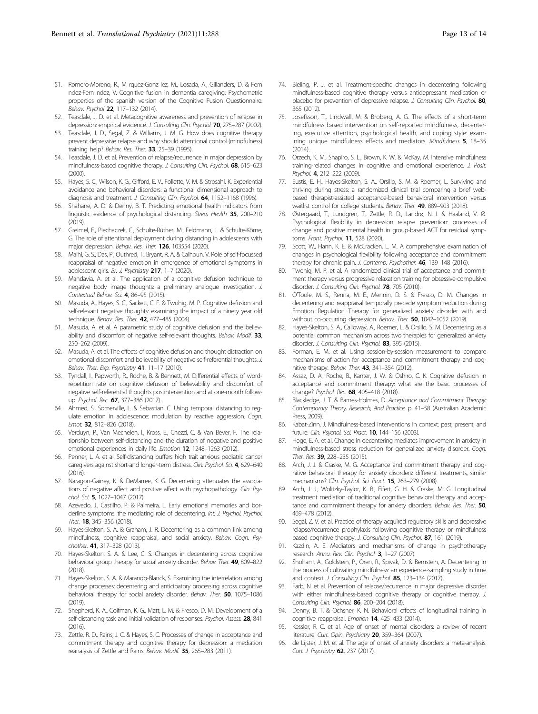- <span id="page-12-0"></span>51. Romero-Moreno, R., M rquez-Gonz lez, M., Losada, A., Gillanders, D. & Fern ndez-Fern ndez, V. Cognitive fusion in dementia caregiving: Psychometric properties of the spanish version of the Cognitive Fusion Questionnaire. Behav. Psychol 22, 117–132 (2014).
- 52. Teasdale, J. D. et al. Metacognitive awareness and prevention of relapse in depression: empirical evidence. J. Consulting Clin. Psychol. 70, 275-287 (2002).
- 53. Teasdale, J. D., Segal, Z. & Williams, J. M. G. How does cognitive therapy prevent depressive relapse and why should attentional control (mindfulness) training help? Behav. Res. Ther. 33, 25–39 (1995).
- 54. Teasdale, J. D. et al. Prevention of relapse/recurrence in major depression by mindfulness-based cognitive therapy. J. Consulting Clin. Psychol. 68, 615-623 (2000).
- 55. Hayes, S. C., Wilson, K. G., Gifford, E. V., Follette, V. M. & Strosahl, K. Experiential avoidance and behavioral disorders: a functional dimensional approach to diagnosis and treatment. J. Consulting Clin. Psychol. 64, 1152-1168 (1996).
- 56. Shahane, A. D. & Denny, B. T. Predicting emotional health indicators from linguistic evidence of psychological distancing. Stress Health 35, 200–210  $(2019)$
- 57. Greimel, E., Piechaczek, C., Schulte-Rüther, M., Feldmann, L. & Schulte-Körne, G. The role of attentional deployment during distancing in adolescents with major depression. Behav. Res. Ther. 126, 103554 (2020).
- 58. Malhi, G. S., Das, P., Outhred, T., Bryant, R. A. & Calhoun, V. Role of self-focussed reappraisal of negative emotion in emergence of emotional symptoms in adolescent girls. Br. J. Psychiatry 217, 1-7 (2020).
- 59. Mandavia, A. et al. The application of a cognitive defusion technique to negative body image thoughts: a preliminary analogue investigation. J. Contextual Behav. Sci. 4, 86–95 (2015).
- 60. Masuda, A., Hayes, S. C., Sackett, C. F. & Twohig, M. P. Cognitive defusion and self-relevant negative thoughts: examining the impact of a ninety year old technique. Behav. Res. Ther. 42, 477–485 (2004).
- 61. Masuda, A. et al. A parametric study of cognitive defusion and the believability and discomfort of negative self-relevant thoughts. Behav. Modif. 33, 250–262 (2009).
- 62. Masuda, A. et al. The effects of cognitive defusion and thought distraction on emotional discomfort and believability of negative self-referential thoughts. J. Behav. Ther. Exp. Psychiatry 41, 11-17 (2010).
- 63. Tyndall, I., Papworth, R., Roche, B. & Bennett, M. Differential effects of wordrepetition rate on cognitive defusion of believability and discomfort of negative self-referential thoughts postintervention and at one-month followup. Psychol. Rec. 67, 377–386 (2017).
- 64. Ahmed, S., Somerville, L. & Sebastian, C. Using temporal distancing to regulate emotion in adolescence: modulation by reactive aggression. Cogn. Emot. 32, 812–826 (2018).
- Verduyn, P., Van Mechelen, I., Kross, E., Chezzi, C. & Van Bever, F. The relationship between self-distancing and the duration of negative and positive emotional experiences in daily life. Emotion 12, 1248–1263 (2012).
- 66. Penner, L. A. et al. Self-distancing buffers high trait anxious pediatric cancer caregivers against short-and longer-term distress. Clin. Psychol. Sci. 4, 629-640 (2016).
- 67. Naragon-Gainey, K. & DeMarree, K. G. Decentering attenuates the associations of negative affect and positive affect with psychopathology. Clin. Psychol. Sci. 5, 1027–1047 (2017).
- 68. Azevedo, J., Castilho, P. & Palmeira, L. Early emotional memories and borderline symptoms: the mediating role of decentering. Int. J. Psychol. Psychol. Ther. **18**, 345-356 (2018).
- 69. Hayes-Skelton, S. A. & Graham, J. R. Decentering as a common link among mindfulness, cognitive reappraisal, and social anxiety. Behav. Cogn. Psychother. **41**, 317-328 (2013).
- 70. Hayes-Skelton, S. A. & Lee, C. S. Changes in decentering across cognitive behavioral group therapy for social anxiety disorder. Behav. Ther. 49, 809–822  $(2018)$
- 71. Hayes-Skelton, S. A. & Marando-Blanck, S. Examining the interrelation among change processes: decentering and anticipatory processing across cognitive behavioral therapy for social anxiety disorder. Behav. Ther. 50, 1075–1086 (2019).
- 72. Shepherd, K. A., Coifman, K. G., Matt, L. M. & Fresco, D. M. Development of a self-distancing task and initial validation of responses. Psychol. Assess. 28, 841 (2016).
- Zettle, R. D., Rains, J. C. & Hayes, S. C. Processes of change in acceptance and commitment therapy and cognitive therapy for depression: a mediation reanalysis of Zettle and Rains. Behav. Modif. 35, 265-283 (2011).
- 74. Bieling, P. J. et al. Treatment-specific changes in decentering following mindfulness-based cognitive therapy versus antidepressant medication or placebo for prevention of depressive relapse. J. Consulting Clin. Psychol. 80, 365 (2012).
- 75. Josefsson, T., Lindwall, M. & Broberg, A. G. The effects of a short-term mindfulness based intervention on self-reported mindfulness, decentering, executive attention, psychological health, and coping style: examining unique mindfulness effects and mediators. Mindfulness 5, 18–35 (2014).
- 76. Orzech, K. M., Shapiro, S. L., Brown, K. W. & McKay, M. Intensive mindfulness training-related changes in cognitive and emotional experience. J. Posit. Psychol. 4, 212–222 (2009).
- 77. Eustis, E. H., Hayes-Skelton, S. A., Orsillo, S. M. & Roemer, L. Surviving and thriving during stress: a randomized clinical trial comparing a brief webbased therapist-assisted acceptance-based behavioral intervention versus waitlist control for college students. Behav. Ther. 49, 889–903 (2018).
- Østergaard, T., Lundgren, T., Zettle, R. D., Landrø, N. I. & Haaland, V. Ø. Psychological flexibility in depression relapse prevention: processes of change and positive mental health in group-based ACT for residual symptoms. Front. Psychol. 11, 528 (2020).
- 79. Scott, W., Hann, K. E. & McCracken, L. M. A comprehensive examination of changes in psychological flexibility following acceptance and commitment therapy for chronic pain. J. Contemp. Psychother. 46, 139-148 (2016).
- 80. Twohig, M. P. et al. A randomized clinical trial of acceptance and commitment therapy versus progressive relaxation training for obsessive-compulsive disorder. J. Consulting Clin. Psychol. 78, 705 (2010).
- 81. O'Toole, M. S., Renna, M. E., Mennin, D. S. & Fresco, D. M. Changes in decentering and reappraisal temporally precede symptom reduction during Emotion Regulation Therapy for generalized anxiety disorder with and without co-occurring depression. Behav. Ther. 50, 1042–1052 (2019).
- 82. Hayes-Skelton, S. A., Calloway, A., Roemer, L. & Orsillo, S. M. Decentering as a potential common mechanism across two therapies for generalized anxiety disorder. J. Consulting Clin. Psychol. 83, 395 (2015).
- 83. Forman, E. M. et al. Using session-by-session measurement to compare mechanisms of action for acceptance and commitment therapy and cognitive therapy. Behav. Ther. 43, 341–354 (2012).
- 84. Assaz, D. A., Roche, B., Kanter, J. W. & Oshiro, C. K. Cognitive defusion in acceptance and commitment therapy: what are the basic processes of change? Psychol. Rec. 68, 405-418 (2018).
- 85. Blackledge, J. T. & Barnes-Holmes, D. Acceptance and Commitment Therapy: Contemporary Theory, Research, And Practice, p. 41–58 (Australian Academic Press, 2009).
- 86. Kabat-Zinn, J. Mindfulness-based interventions in context: past, present, and future. Clin. Psychol. Sci. Pract. 10, 144–156 (2003).
- 87. Hoge, E. A. et al. Change in decentering mediates improvement in anxiety in mindfulness-based stress reduction for generalized anxiety disorder. Cogn. Ther. Res. 39, 228-235 (2015).
- 88. Arch, J. J. & Craske, M. G. Acceptance and commitment therapy and cognitive behavioral therapy for anxiety disorders: different treatments, similar mechanisms? Clin. Psychol. Sci. Pract. 15, 263–279 (2008).
- 89. Arch, J. J., Wolitzky-Taylor, K. B., Eifert, G. H. & Craske, M. G. Longitudinal treatment mediation of traditional cognitive behavioral therapy and acceptance and commitment therapy for anxiety disorders. Behav. Res. Ther. 50, 469–478 (2012).
- 90. Segal, Z. V. et al. Practice of therapy acquired regulatory skills and depressive relapse/recurrence prophylaxis following cognitive therapy or mindfulness based cognitive therapy. J. Consulting Clin. Psychol. 87, 161 (2019).
- 91. Kazdin, A. E. Mediators and mechanisms of change in psychotherapy research. Annu. Rev. Clin. Psychol. 3, 1–27 (2007).
- 92. Shoham, A., Goldstein, P., Oren, R., Spivak, D. & Bernstein, A. Decentering in the process of cultivating mindfulness: an experience-sampling study in time and context. J. Consulting Clin. Psychol. 85, 123-134 (2017).
- 93. Farb, N. et al. Prevention of relapse/recurrence in major depressive disorder with either mindfulness-based cognitive therapy or cognitive therapy. J. Consulting Clin. Psychol. 86, 200-204 (2018).
- 94. Denny, B. T. & Ochsner, K. N. Behavioral effects of longitudinal training in cognitive reappraisal. Emotion 14, 425–433 (2014).
- 95. Kessler, R. C. et al. Age of onset of mental disorders: a review of recent literature. Curr. Opin. Psychiatry 20, 359-364 (2007).
- 96. de Lijster, J. M. et al. The age of onset of anxiety disorders: a meta-analysis. Can. J. Psychiatry 62, 237 (2017).